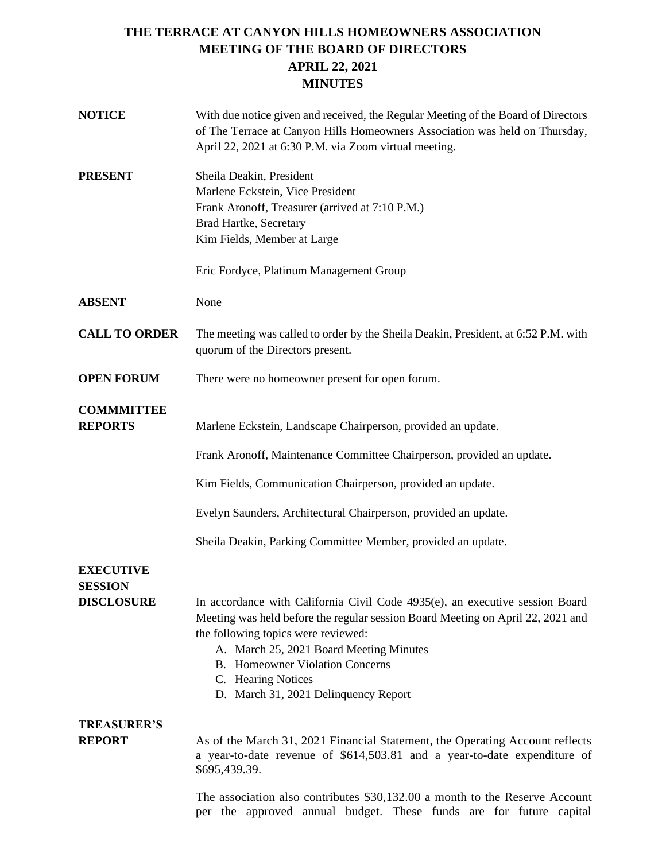# **THE TERRACE AT CANYON HILLS HOMEOWNERS ASSOCIATION MEETING OF THE BOARD OF DIRECTORS APRIL 22, 2021 MINUTES**

| <b>NOTICE</b>                       | With due notice given and received, the Regular Meeting of the Board of Directors<br>of The Terrace at Canyon Hills Homeowners Association was held on Thursday,<br>April 22, 2021 at 6:30 P.M. via Zoom virtual meeting.                                                                                                                                 |
|-------------------------------------|-----------------------------------------------------------------------------------------------------------------------------------------------------------------------------------------------------------------------------------------------------------------------------------------------------------------------------------------------------------|
| <b>PRESENT</b>                      | Sheila Deakin, President<br>Marlene Eckstein, Vice President<br>Frank Aronoff, Treasurer (arrived at 7:10 P.M.)<br><b>Brad Hartke, Secretary</b><br>Kim Fields, Member at Large                                                                                                                                                                           |
|                                     | Eric Fordyce, Platinum Management Group                                                                                                                                                                                                                                                                                                                   |
| <b>ABSENT</b>                       | None                                                                                                                                                                                                                                                                                                                                                      |
| <b>CALL TO ORDER</b>                | The meeting was called to order by the Sheila Deakin, President, at 6:52 P.M. with<br>quorum of the Directors present.                                                                                                                                                                                                                                    |
| <b>OPEN FORUM</b>                   | There were no homeowner present for open forum.                                                                                                                                                                                                                                                                                                           |
| <b>COMMMITTEE</b><br><b>REPORTS</b> | Marlene Eckstein, Landscape Chairperson, provided an update.                                                                                                                                                                                                                                                                                              |
|                                     | Frank Aronoff, Maintenance Committee Chairperson, provided an update.                                                                                                                                                                                                                                                                                     |
|                                     | Kim Fields, Communication Chairperson, provided an update.                                                                                                                                                                                                                                                                                                |
|                                     | Evelyn Saunders, Architectural Chairperson, provided an update.                                                                                                                                                                                                                                                                                           |
|                                     | Sheila Deakin, Parking Committee Member, provided an update.                                                                                                                                                                                                                                                                                              |
| <b>EXECUTIVE</b><br><b>SESSION</b>  |                                                                                                                                                                                                                                                                                                                                                           |
| <b>DISCLOSURE</b>                   | In accordance with California Civil Code 4935(e), an executive session Board<br>Meeting was held before the regular session Board Meeting on April 22, 2021 and<br>the following topics were reviewed:<br>A. March 25, 2021 Board Meeting Minutes<br><b>B.</b> Homeowner Violation Concerns<br>C. Hearing Notices<br>D. March 31, 2021 Delinquency Report |
| <b>TREASURER'S</b>                  |                                                                                                                                                                                                                                                                                                                                                           |
| <b>REPORT</b>                       | As of the March 31, 2021 Financial Statement, the Operating Account reflects<br>a year-to-date revenue of \$614,503.81 and a year-to-date expenditure of<br>\$695,439.39.                                                                                                                                                                                 |
|                                     | The association also contributes \$30,132.00 a month to the Reserve Account                                                                                                                                                                                                                                                                               |

per the approved annual budget. These funds are for future capital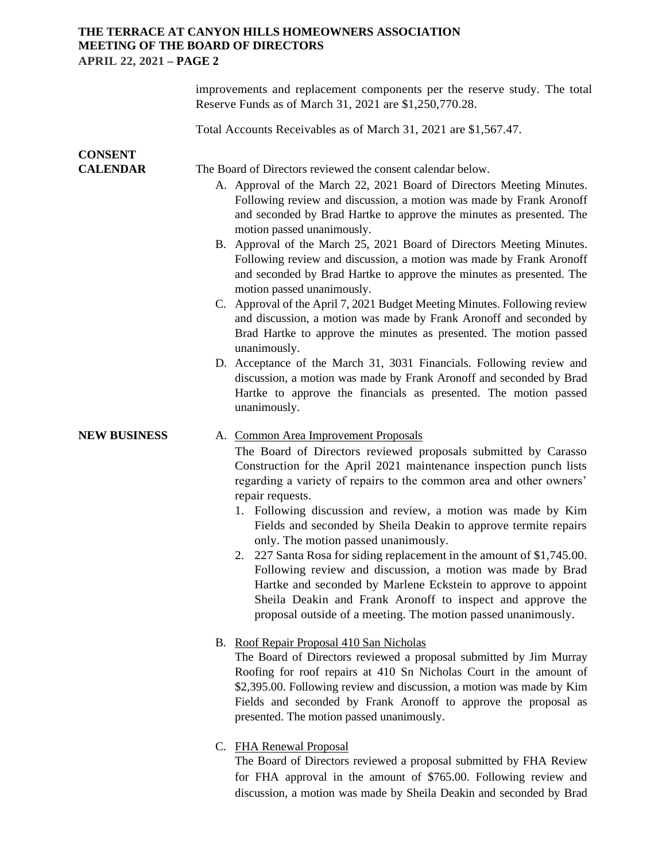# **THE TERRACE AT CANYON HILLS HOMEOWNERS ASSOCIATION MEETING OF THE BOARD OF DIRECTORS APRIL 22, 2021 – PAGE 2**

|                                   | improvements and replacement components per the reserve study. The total<br>Reserve Funds as of March 31, 2021 are \$1,250,770.28.                                                                                                                                                                                                                                                                                                                                                                                                                                                                                                                                                                                                                                                                                                                                                                                                                              |
|-----------------------------------|-----------------------------------------------------------------------------------------------------------------------------------------------------------------------------------------------------------------------------------------------------------------------------------------------------------------------------------------------------------------------------------------------------------------------------------------------------------------------------------------------------------------------------------------------------------------------------------------------------------------------------------------------------------------------------------------------------------------------------------------------------------------------------------------------------------------------------------------------------------------------------------------------------------------------------------------------------------------|
|                                   | Total Accounts Receivables as of March 31, 2021 are \$1,567.47.                                                                                                                                                                                                                                                                                                                                                                                                                                                                                                                                                                                                                                                                                                                                                                                                                                                                                                 |
| <b>CONSENT</b><br><b>CALENDAR</b> | The Board of Directors reviewed the consent calendar below.<br>A. Approval of the March 22, 2021 Board of Directors Meeting Minutes.<br>Following review and discussion, a motion was made by Frank Aronoff<br>and seconded by Brad Hartke to approve the minutes as presented. The<br>motion passed unanimously.<br>B. Approval of the March 25, 2021 Board of Directors Meeting Minutes.<br>Following review and discussion, a motion was made by Frank Aronoff<br>and seconded by Brad Hartke to approve the minutes as presented. The<br>motion passed unanimously.<br>C. Approval of the April 7, 2021 Budget Meeting Minutes. Following review<br>and discussion, a motion was made by Frank Aronoff and seconded by<br>Brad Hartke to approve the minutes as presented. The motion passed<br>unanimously.<br>D. Acceptance of the March 31, 3031 Financials. Following review and<br>discussion, a motion was made by Frank Aronoff and seconded by Brad |
|                                   | Hartke to approve the financials as presented. The motion passed<br>unanimously.                                                                                                                                                                                                                                                                                                                                                                                                                                                                                                                                                                                                                                                                                                                                                                                                                                                                                |
| <b>NEW BUSINESS</b>               | A. Common Area Improvement Proposals<br>The Board of Directors reviewed proposals submitted by Carasso<br>Construction for the April 2021 maintenance inspection punch lists<br>regarding a variety of repairs to the common area and other owners'<br>repair requests.<br>1. Following discussion and review, a motion was made by Kim<br>Fields and seconded by Sheila Deakin to approve termite repairs<br>only. The motion passed unanimously.<br>2. 227 Santa Rosa for siding replacement in the amount of \$1,745.00.<br>Following review and discussion, a motion was made by Brad<br>Hartke and seconded by Marlene Eckstein to approve to appoint<br>Sheila Deakin and Frank Aronoff to inspect and approve the<br>proposal outside of a meeting. The motion passed unanimously.                                                                                                                                                                       |
|                                   | B. Roof Repair Proposal 410 San Nicholas<br>The Board of Directors reviewed a proposal submitted by Jim Murray<br>Roofing for roof repairs at 410 Sn Nicholas Court in the amount of<br>\$2,395.00. Following review and discussion, a motion was made by Kim<br>Fields and seconded by Frank Aronoff to approve the proposal as<br>presented. The motion passed unanimously.                                                                                                                                                                                                                                                                                                                                                                                                                                                                                                                                                                                   |
|                                   | C. FHA Renewal Proposal<br>The Board of Directors reviewed a proposal submitted by FHA Review<br>for FHA approval in the amount of \$765.00. Following review and                                                                                                                                                                                                                                                                                                                                                                                                                                                                                                                                                                                                                                                                                                                                                                                               |

discussion, a motion was made by Sheila Deakin and seconded by Brad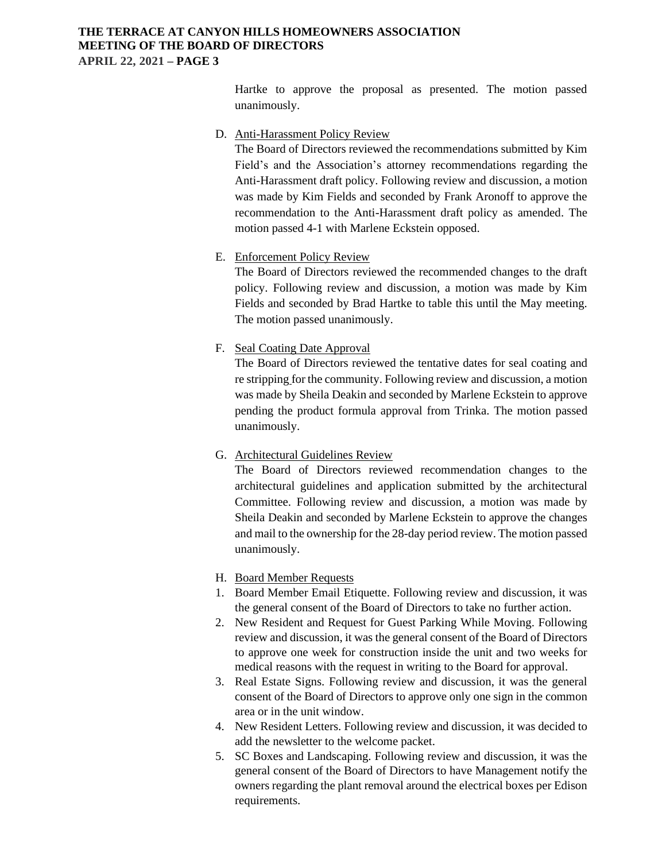### **THE TERRACE AT CANYON HILLS HOMEOWNERS ASSOCIATION MEETING OF THE BOARD OF DIRECTORS APRIL 22, 2021 – PAGE 3**

Hartke to approve the proposal as presented. The motion passed unanimously.

#### D. Anti-Harassment Policy Review

The Board of Directors reviewed the recommendations submitted by Kim Field's and the Association's attorney recommendations regarding the Anti-Harassment draft policy. Following review and discussion, a motion was made by Kim Fields and seconded by Frank Aronoff to approve the recommendation to the Anti-Harassment draft policy as amended. The motion passed 4-1 with Marlene Eckstein opposed.

### E. Enforcement Policy Review

The Board of Directors reviewed the recommended changes to the draft policy. Following review and discussion, a motion was made by Kim Fields and seconded by Brad Hartke to table this until the May meeting. The motion passed unanimously.

#### F. Seal Coating Date Approval

The Board of Directors reviewed the tentative dates for seal coating and re stripping for the community. Following review and discussion, a motion was made by Sheila Deakin and seconded by Marlene Eckstein to approve pending the product formula approval from Trinka. The motion passed unanimously.

# G. Architectural Guidelines Review

The Board of Directors reviewed recommendation changes to the architectural guidelines and application submitted by the architectural Committee. Following review and discussion, a motion was made by Sheila Deakin and seconded by Marlene Eckstein to approve the changes and mail to the ownership for the 28-day period review. The motion passed unanimously.

#### H. Board Member Requests

- 1. Board Member Email Etiquette. Following review and discussion, it was the general consent of the Board of Directors to take no further action.
- 2. New Resident and Request for Guest Parking While Moving. Following review and discussion, it was the general consent of the Board of Directors to approve one week for construction inside the unit and two weeks for medical reasons with the request in writing to the Board for approval.
- 3. Real Estate Signs. Following review and discussion, it was the general consent of the Board of Directors to approve only one sign in the common area or in the unit window.
- 4. New Resident Letters. Following review and discussion, it was decided to add the newsletter to the welcome packet.
- 5. SC Boxes and Landscaping. Following review and discussion, it was the general consent of the Board of Directors to have Management notify the owners regarding the plant removal around the electrical boxes per Edison requirements.